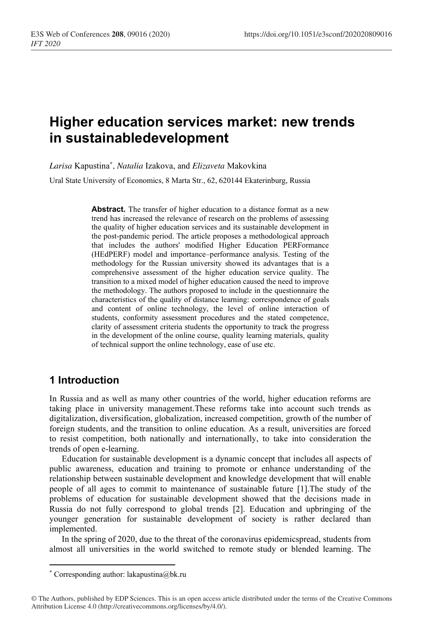# **Higher education services market: new trends in sustainabledevelopment**

*Larisa* Kapustina*\* , Natalia* Izakova, and *Elizaveta* Makovkina

Ural State University of Economics, 8 Marta Str., 62, 620144 Ekaterinburg, Russia

**Abstract.** The transfer of higher education to a distance format as a new trend has increased the relevance of research on the problems of assessing the quality of higher education services and its sustainable development in the post-pandemic period. The article proposes a methodological approach that includes the authors' modified Higher Education PERFormance (HEdPERF) model and importance–performance analysis. Testing of the methodology for the Russian university showed its advantages that is a comprehensive assessment of the higher education service quality. The transition to a mixed model of higher education caused the need to improve the methodology. The authors proposed to include in the questionnaire the characteristics of the quality of distance learning: correspondence of goals and content of online technology, the level of online interaction of students, conformity assessment procedures and the stated competence, clarity of assessment criteria students the opportunity to track the progress in the development of the online course, quality learning materials, quality of technical support the online technology, ease of use etc.

### **1 Introduction**

In Russia and as well as many other countries of the world, higher education reforms are taking place in university management.These reforms take into account such trends as digitalization, diversification, globalization, increased competition, growth of the number of foreign students, and the transition to online education. As a result, universities are forced to resist competition, both nationally and internationally, to take into consideration the trends of open e-learning.

Education for sustainable development is a dynamic concept that includes all aspects of public awareness, education and training to promote or enhance understanding of the relationship between sustainable development and knowledge development that will enable people of all ages to commit to maintenance of sustainable future [1].The study of the problems of education for sustainable development showed that the decisions made in Russia do not fully correspond to global trends [2]. Education and upbringing of the younger generation for sustainable development of society is rather declared than implemented.

In the spring of 2020, due to the threat of the coronavirus epidemicspread, students from almost all universities in the world switched to remote study or blended learning. The

<sup>\*</sup> Corresponding author: lakapustina@bk.ru

<sup>©</sup> The Authors, published by EDP Sciences. This is an open access article distributed under the terms of the Creative Commons Attribution License 4.0 (http://creativecommons.org/licenses/by/4.0/).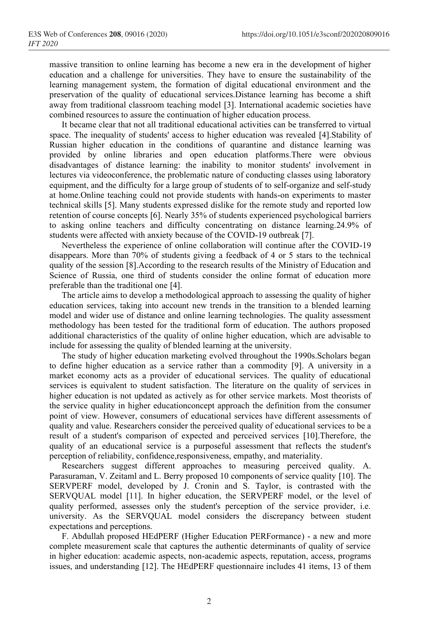massive transition to online learning has become a new era in the development of higher education and a challenge for universities. They have to ensure the sustainability of the learning management system, the formation of digital educational environment and the preservation of the quality of educational services.Distance learning has become a shift away from traditional classroom teaching model [3]. International academic societies have combined resources to assure the continuation of higher education process.

It became clear that not all traditional educational activities can be transferred to virtual space. The inequality of students' access to higher education was revealed [4].Stability of Russian higher education in the conditions of quarantine and distance learning was provided by online libraries and open education platforms.There were obvious disadvantages of distance learning: the inability to monitor students' involvement in lectures via videoconference, the problematic nature of conducting classes using laboratory equipment, and the difficulty for a large group of students of to self-organize and self-study at home.Online teaching could not provide students with hands-on experiments to master technical skills [5]. Many students expressed dislike for the remote study and reported low retention of course concepts [6]. Nearly 35% of students experienced psychological barriers to asking online teachers and difficulty concentrating on distance learning.24.9% of students were affected with anxiety because of the COVID-19 outbreak [7].

Nevertheless the experience of online collaboration will continue after the COVID-19 disappears. More than 70% of students giving a feedback of 4 or 5 stars to the technical quality of the session [8].According to the research results of the Ministry of Education and Science of Russia, one third of students consider the online format of education more preferable than the traditional one [4].

The article aims to develop a methodological approach to assessing the quality of higher education services, taking into account new trends in the transition to a blended learning model and wider use of distance and online learning technologies. The quality assessment methodology has been tested for the traditional form of education. The authors proposed additional characteristics of the quality of online higher education, which are advisable to include for assessing the quality of blended learning at the university.

The study of higher education marketing evolved throughout the 1990s.Scholars began to define higher education as a service rather than a commodity [9]. A university in a market economy acts as a provider of educational services. The quality of educational services is equivalent to student satisfaction. The literature on the quality of services in higher education is not updated as actively as for other service markets. Most theorists of the service quality in higher educationconcept approach the definition from the consumer point of view. However, consumers of educational services have different assessments of quality and value. Researchers consider the perceived quality of educational services to be a result of a student's comparison of expected and perceived services [10].Therefore, the quality of an educational service is a purposeful assessment that reflects the student's perception of reliability, confidence,responsiveness, empathy, and materiality.

Researchers suggest different approaches to measuring perceived quality. A. Parasuraman, V. Zeitaml and L. Berry proposed 10 components of service quality [10]. The SERVPERF model, developed by J. Cronin and S. Taylor, is contrasted with the SERVQUAL model [11]. In higher education, the SERVPERF model, or the level of quality performed, assesses only the student's perception of the service provider, i.e. university. As the SERVQUAL model considers the discrepancy between student expectations and perceptions.

F. Abdullah proposed HEdPERF (Higher Education PERFormance) - a new and more complete measurement scale that captures the authentic determinants of quality of service in higher education: academic aspects, non-academic aspects, reputation, access, programs issues, and understanding [12]. The HEdPERF questionnaire includes 41 items, 13 of them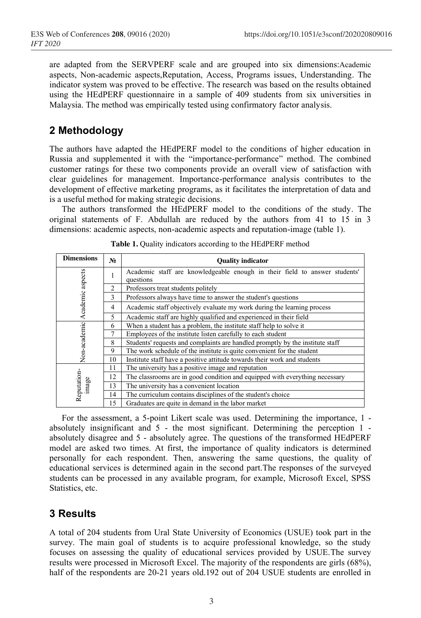are adapted from the SERVPERF scale and are grouped into six dimensions:Academic aspects, Non-academic aspects,Reputation, Access, Programs issues, Understanding. The indicator system was proved to be effective. The research was based on the results obtained using the HEdPERF questionnaire in a sample of 409 students from six universities in Malaysia. The method was empirically tested using confirmatory factor analysis.

### **2 Methodology**

The authors have adapted the HEdPERF model to the conditions of higher education in Russia and supplemented it with the "importance-performance" method. The combined customer ratings for these two components provide an overall view of satisfaction with clear guidelines for management. Importance-performance analysis contributes to the development of effective marketing programs, as it facilitates the interpretation of data and is a useful method for making strategic decisions.

The authors transformed the HEdPERF model to the conditions of the study. The original statements of F. Abdullah are reduced by the authors from 41 to 15 in 3 dimensions: academic aspects, non-academic aspects and reputation-image (table 1).

| <b>Dimensions</b>    | $N_2$ | <b>Quality indicator</b>                                                                |  |  |
|----------------------|-------|-----------------------------------------------------------------------------------------|--|--|
| Academic aspects     |       | Academic staff are knowledgeable enough in their field to answer students'<br>questions |  |  |
|                      | 2     | Professors treat students politely                                                      |  |  |
|                      | 3     | Professors always have time to answer the student's questions                           |  |  |
|                      | 4     | Academic staff objectively evaluate my work during the learning process                 |  |  |
|                      | 5     | Academic staff are highly qualified and experienced in their field                      |  |  |
| Non-academic         | 6     | When a student has a problem, the institute staff help to solve it                      |  |  |
|                      |       | Employees of the institute listen carefully to each student                             |  |  |
|                      | 8     | Students' requests and complaints are handled promptly by the institute staff           |  |  |
|                      | 9     | The work schedule of the institute is quite convenient for the student                  |  |  |
|                      | 10    | Institute staff have a positive attitude towards their work and students                |  |  |
| Reputation-<br>image | 11    | The university has a positive image and reputation                                      |  |  |
|                      | 12    | The classrooms are in good condition and equipped with everything necessary             |  |  |
|                      | 13    | The university has a convenient location                                                |  |  |
|                      | 14    | The curriculum contains disciplines of the student's choice                             |  |  |
|                      | 15    | Graduates are quite in demand in the labor market                                       |  |  |

**Table 1.** Quality indicators according to the HEdPERF method

For the assessment, a 5-point Likert scale was used. Determining the importance, 1 absolutely insignificant and 5 - the most significant. Determining the perception 1 absolutely disagree and 5 - absolutely agree. The questions of the transformed HEdPERF model are asked two times. At first, the importance of quality indicators is determined personally for each respondent. Then, answering the same questions, the quality of educational services is determined again in the second part.The responses of the surveyed students can be processed in any available program, for example, Microsoft Excel, SPSS Statistics, etc.

## **3 Results**

A total of 204 students from Ural State University of Economics (USUE) took part in the survey. The main goal of students is to acquire professional knowledge, so the study focuses on assessing the quality of educational services provided by USUE.The survey results were processed in Microsoft Excel. The majority of the respondents are girls (68%), half of the respondents are 20-21 years old.192 out of 204 USUE students are enrolled in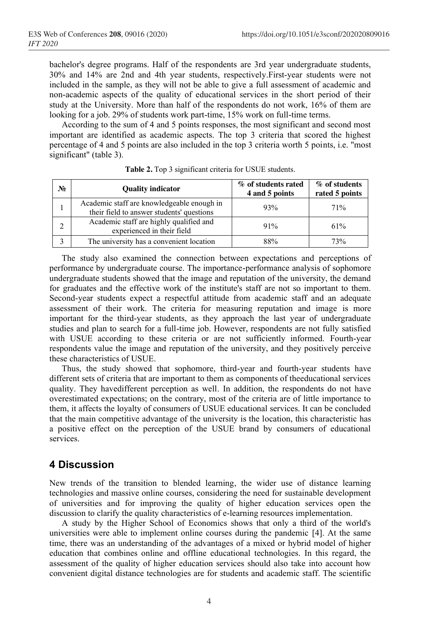bachelor's degree programs. Half of the respondents are 3rd year undergraduate students, 30% and 14% are 2nd and 4th year students, respectively.First-year students were not included in the sample, as they will not be able to give a full assessment of academic and non-academic aspects of the quality of educational services in the short period of their study at the University. More than half of the respondents do not work, 16% of them are looking for a job. 29% of students work part-time, 15% work on full-time terms.

According to the sum of 4 and 5 points responses, the most significant and second most important are identified as academic aspects. The top 3 criteria that scored the highest percentage of 4 and 5 points are also included in the top 3 criteria worth 5 points, i.e. "most significant" (table 3).

| No | <b>Quality indicator</b>                                                                | % of students rated<br>4 and 5 points | % of students<br>rated 5 points |
|----|-----------------------------------------------------------------------------------------|---------------------------------------|---------------------------------|
|    | Academic staff are knowledgeable enough in<br>their field to answer students' questions | 93%                                   | 71%                             |
| າ  | Academic staff are highly qualified and<br>experienced in their field                   | 91%                                   | 61%                             |
|    | The university has a convenient location                                                | 88%                                   | 73%                             |

**Table 2.** Top 3 significant criteria for USUE students.

The study also examined the connection between expectations and perceptions of performance by undergraduate course. The importance-performance analysis of sophomore undergraduate students showed that the image and reputation of the university, the demand for graduates and the effective work of the institute's staff are not so important to them. Second-year students expect a respectful attitude from academic staff and an adequate assessment of their work. The criteria for measuring reputation and image is more important for the third-year students, as they approach the last year of undergraduate studies and plan to search for a full-time job. However, respondents are not fully satisfied with USUE according to these criteria or are not sufficiently informed. Fourth-year respondents value the image and reputation of the university, and they positively perceive these characteristics of USUE.

Thus, the study showed that sophomore, third-year and fourth-year students have different sets of criteria that are important to them as components of theeducational services quality. They havedifferent perception as well. In addition, the respondents do not have overestimated expectations; on the contrary, most of the criteria are of little importance to them, it affects the loyalty of consumers of USUE educational services. It can be concluded that the main competitive advantage of the university is the location, this characteristic has a positive effect on the perception of the USUE brand by consumers of educational services.

### **4 Discussion**

New trends of the transition to blended learning, the wider use of distance learning technologies and massive online courses, considering the need for sustainable development of universities and for improving the quality of higher education services open the discussion to clarify the quality characteristics of e-learning resources implementation.

A study by the Higher School of Economics shows that only a third of the world's universities were able to implement online courses during the pandemic [4]. At the same time, there was an understanding of the advantages of a mixed or hybrid model of higher education that combines online and offline educational technologies. In this regard, the assessment of the quality of higher education services should also take into account how convenient digital distance technologies are for students and academic staff. The scientific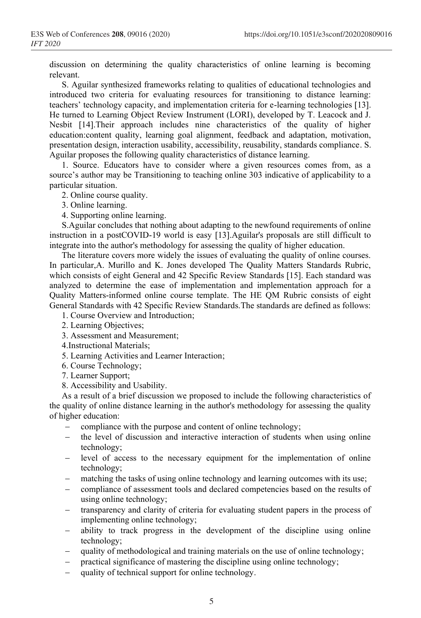discussion on determining the quality characteristics of online learning is becoming relevant.

S. Aguilar synthesized frameworks relating to qualities of educational technologies and introduced two criteria for evaluating resources for transitioning to distance learning: teachers' technology capacity, and implementation criteria for e-learning technologies [13]. He turned to Learning Object Review Instrument (LORI), developed by T. Leacock and J. Nesbit [14].Their approach includes nine characteristics of the quality of higher education:content quality, learning goal alignment, feedback and adaptation, motivation, presentation design, interaction usability, accessibility, reusability, standards compliance. S. Aguilar proposes the following quality characteristics of distance learning.

1. Source. Educators have to consider where a given resources comes from, as a source's author may be Transitioning to teaching online 303 indicative of applicability to a particular situation.

2. Online course quality.

3. Online learning.

4. Supporting online learning.

S.Aguilar concludes that nothing about adapting to the newfound requirements of online instruction in a postCOVID-19 world is easy [13].Aguilar's proposals are still difficult to integrate into the author's methodology for assessing the quality of higher education.

The literature covers more widely the issues of evaluating the quality of online courses. In particular,A. Murillo and K. Jones developed The Quality Matters Standards Rubric, which consists of eight General and 42 Specific Review Standards [15]. Each standard was analyzed to determine the ease of implementation and implementation approach for a Quality Matters-informed online course template. The HE QM Rubric consists of eight General Standards with 42 Specific Review Standards.The standards are defined as follows:

1. Course Overview and Introduction;

- 2. Learning Objectives;
- 3. Assessment and Measurement;

4.Instructional Materials;

5. Learning Activities and Learner Interaction;

6. Course Technology;

7. Learner Support;

8. Accessibility and Usability.

As a result of a brief discussion we proposed to include the following characteristics of the quality of online distance learning in the author's methodology for assessing the quality of higher education:

- compliance with the purpose and content of online technology;
- the level of discussion and interactive interaction of students when using online technology;
- − level of access to the necessary equipment for the implementation of online technology;
- matching the tasks of using online technology and learning outcomes with its use;
- − compliance of assessment tools and declared competencies based on the results of using online technology;
- transparency and clarity of criteria for evaluating student papers in the process of implementing online technology;
- ability to track progress in the development of the discipline using online technology;
- quality of methodological and training materials on the use of online technology;
- practical significance of mastering the discipline using online technology;
- quality of technical support for online technology.